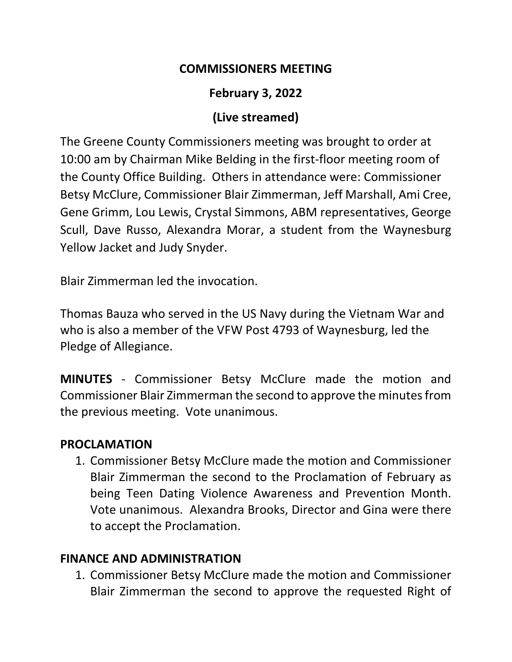#### **COMMISSIONERS MEETING**

## **February 3, 2022**

#### **(Live streamed)**

The Greene County Commissioners meeting was brought to order at 10:00 am by Chairman Mike Belding in the first-floor meeting room of the County Office Building. Others in attendance were: Commissioner Betsy McClure, Commissioner Blair Zimmerman, Jeff Marshall, Ami Cree, Gene Grimm, Lou Lewis, Crystal Simmons, ABM representatives, George Scull, Dave Russo, Alexandra Morar, a student from the Waynesburg Yellow Jacket and Judy Snyder.

Blair Zimmerman led the invocation.

Thomas Bauza who served in the US Navy during the Vietnam War and who is also a member of the VFW Post 4793 of Waynesburg, led the Pledge of Allegiance.

**MINUTES** - Commissioner Betsy McClure made the motion and Commissioner Blair Zimmerman the second to approve the minutes from the previous meeting. Vote unanimous.

#### **PROCLAMATION**

1. Commissioner Betsy McClure made the motion and Commissioner Blair Zimmerman the second to the Proclamation of February as being Teen Dating Violence Awareness and Prevention Month. Vote unanimous. Alexandra Brooks, Director and Gina were there to accept the Proclamation.

#### **FINANCE AND ADMINISTRATION**

1. Commissioner Betsy McClure made the motion and Commissioner Blair Zimmerman the second to approve the requested Right of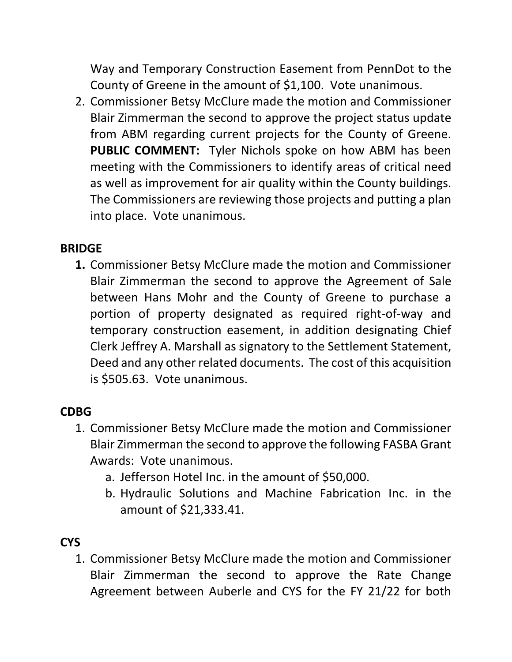Way and Temporary Construction Easement from PennDot to the County of Greene in the amount of \$1,100. Vote unanimous.

2. Commissioner Betsy McClure made the motion and Commissioner Blair Zimmerman the second to approve the project status update from ABM regarding current projects for the County of Greene. **PUBLIC COMMENT:** Tyler Nichols spoke on how ABM has been meeting with the Commissioners to identify areas of critical need as well as improvement for air quality within the County buildings. The Commissioners are reviewing those projects and putting a plan into place. Vote unanimous.

## **BRIDGE**

**1.** Commissioner Betsy McClure made the motion and Commissioner Blair Zimmerman the second to approve the Agreement of Sale between Hans Mohr and the County of Greene to purchase a portion of property designated as required right-of-way and temporary construction easement, in addition designating Chief Clerk Jeffrey A. Marshall as signatory to the Settlement Statement, Deed and any other related documents. The cost of this acquisition is \$505.63. Vote unanimous.

## **CDBG**

- 1. Commissioner Betsy McClure made the motion and Commissioner Blair Zimmerman the second to approve the following FASBA Grant Awards: Vote unanimous.
	- a. Jefferson Hotel Inc. in the amount of \$50,000.
	- b. Hydraulic Solutions and Machine Fabrication Inc. in the amount of \$21,333.41.

# **CYS**

1. Commissioner Betsy McClure made the motion and Commissioner Blair Zimmerman the second to approve the Rate Change Agreement between Auberle and CYS for the FY 21/22 for both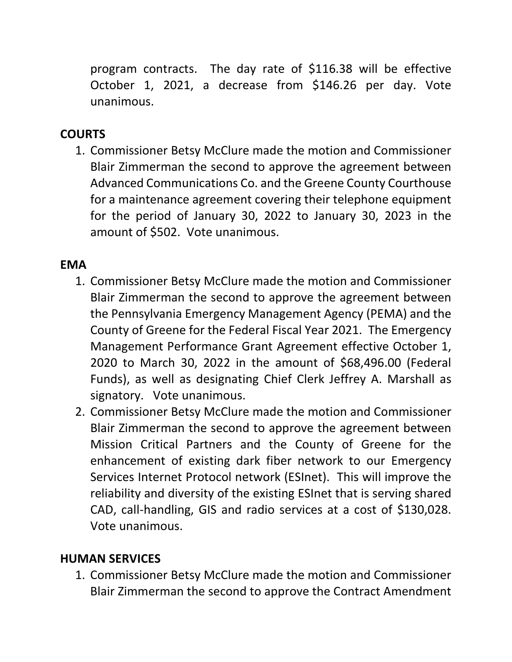program contracts. The day rate of \$116.38 will be effective October 1, 2021, a decrease from \$146.26 per day. Vote unanimous.

# **COURTS**

1. Commissioner Betsy McClure made the motion and Commissioner Blair Zimmerman the second to approve the agreement between Advanced Communications Co. and the Greene County Courthouse for a maintenance agreement covering their telephone equipment for the period of January 30, 2022 to January 30, 2023 in the amount of \$502. Vote unanimous.

# **EMA**

- 1. Commissioner Betsy McClure made the motion and Commissioner Blair Zimmerman the second to approve the agreement between the Pennsylvania Emergency Management Agency (PEMA) and the County of Greene for the Federal Fiscal Year 2021. The Emergency Management Performance Grant Agreement effective October 1, 2020 to March 30, 2022 in the amount of \$68,496.00 (Federal Funds), as well as designating Chief Clerk Jeffrey A. Marshall as signatory. Vote unanimous.
- 2. Commissioner Betsy McClure made the motion and Commissioner Blair Zimmerman the second to approve the agreement between Mission Critical Partners and the County of Greene for the enhancement of existing dark fiber network to our Emergency Services Internet Protocol network (ESInet). This will improve the reliability and diversity of the existing ESInet that is serving shared CAD, call-handling, GIS and radio services at a cost of \$130,028. Vote unanimous.

## **HUMAN SERVICES**

1. Commissioner Betsy McClure made the motion and Commissioner Blair Zimmerman the second to approve the Contract Amendment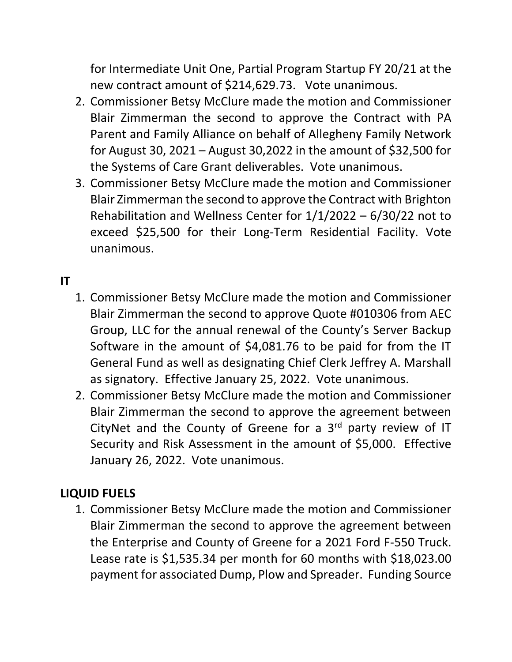for Intermediate Unit One, Partial Program Startup FY 20/21 at the new contract amount of \$214,629.73. Vote unanimous.

- 2. Commissioner Betsy McClure made the motion and Commissioner Blair Zimmerman the second to approve the Contract with PA Parent and Family Alliance on behalf of Allegheny Family Network for August 30, 2021 – August 30,2022 in the amount of \$32,500 for the Systems of Care Grant deliverables. Vote unanimous.
- 3. Commissioner Betsy McClure made the motion and Commissioner Blair Zimmerman the second to approve the Contract with Brighton Rehabilitation and Wellness Center for 1/1/2022 – 6/30/22 not to exceed \$25,500 for their Long-Term Residential Facility. Vote unanimous.

## **IT**

- 1. Commissioner Betsy McClure made the motion and Commissioner Blair Zimmerman the second to approve Quote #010306 from AEC Group, LLC for the annual renewal of the County's Server Backup Software in the amount of \$4,081.76 to be paid for from the IT General Fund as well as designating Chief Clerk Jeffrey A. Marshall as signatory. Effective January 25, 2022. Vote unanimous.
- 2. Commissioner Betsy McClure made the motion and Commissioner Blair Zimmerman the second to approve the agreement between CityNet and the County of Greene for a  $3<sup>rd</sup>$  party review of IT Security and Risk Assessment in the amount of \$5,000. Effective January 26, 2022. Vote unanimous.

#### **LIQUID FUELS**

1. Commissioner Betsy McClure made the motion and Commissioner Blair Zimmerman the second to approve the agreement between the Enterprise and County of Greene for a 2021 Ford F-550 Truck. Lease rate is \$1,535.34 per month for 60 months with \$18,023.00 payment for associated Dump, Plow and Spreader. Funding Source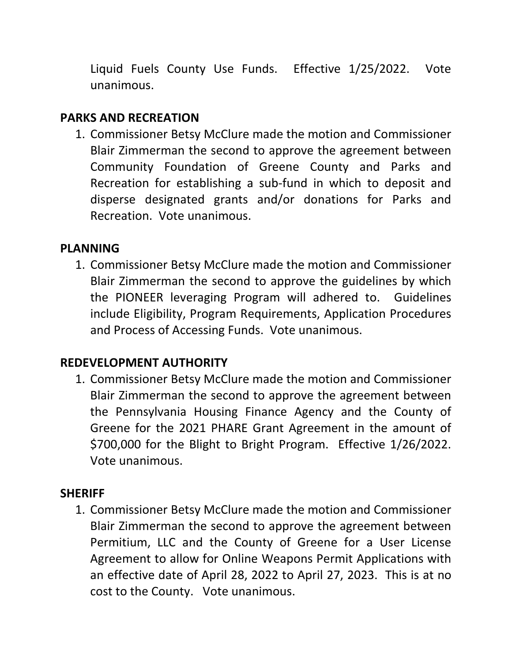Liquid Fuels County Use Funds. Effective 1/25/2022. Vote unanimous.

## **PARKS AND RECREATION**

1. Commissioner Betsy McClure made the motion and Commissioner Blair Zimmerman the second to approve the agreement between Community Foundation of Greene County and Parks and Recreation for establishing a sub-fund in which to deposit and disperse designated grants and/or donations for Parks and Recreation. Vote unanimous.

## **PLANNING**

1. Commissioner Betsy McClure made the motion and Commissioner Blair Zimmerman the second to approve the guidelines by which the PIONEER leveraging Program will adhered to. Guidelines include Eligibility, Program Requirements, Application Procedures and Process of Accessing Funds. Vote unanimous.

# **REDEVELOPMENT AUTHORITY**

1. Commissioner Betsy McClure made the motion and Commissioner Blair Zimmerman the second to approve the agreement between the Pennsylvania Housing Finance Agency and the County of Greene for the 2021 PHARE Grant Agreement in the amount of \$700,000 for the Blight to Bright Program. Effective 1/26/2022. Vote unanimous.

#### **SHERIFF**

1. Commissioner Betsy McClure made the motion and Commissioner Blair Zimmerman the second to approve the agreement between Permitium, LLC and the County of Greene for a User License Agreement to allow for Online Weapons Permit Applications with an effective date of April 28, 2022 to April 27, 2023. This is at no cost to the County. Vote unanimous.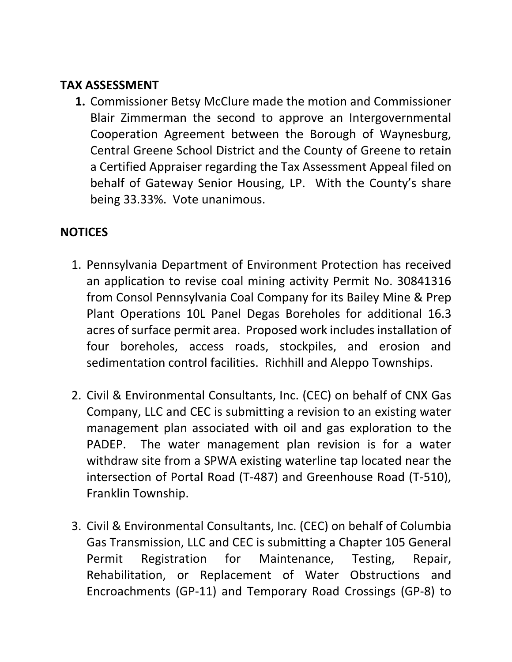#### **TAX ASSESSMENT**

**1.** Commissioner Betsy McClure made the motion and Commissioner Blair Zimmerman the second to approve an Intergovernmental Cooperation Agreement between the Borough of Waynesburg, Central Greene School District and the County of Greene to retain a Certified Appraiser regarding the Tax Assessment Appeal filed on behalf of Gateway Senior Housing, LP. With the County's share being 33.33%. Vote unanimous.

## **NOTICES**

- 1. Pennsylvania Department of Environment Protection has received an application to revise coal mining activity Permit No. 30841316 from Consol Pennsylvania Coal Company for its Bailey Mine & Prep Plant Operations 10L Panel Degas Boreholes for additional 16.3 acres of surface permit area. Proposed work includes installation of four boreholes, access roads, stockpiles, and erosion and sedimentation control facilities. Richhill and Aleppo Townships.
- 2. Civil & Environmental Consultants, Inc. (CEC) on behalf of CNX Gas Company, LLC and CEC is submitting a revision to an existing water management plan associated with oil and gas exploration to the PADEP. The water management plan revision is for a water withdraw site from a SPWA existing waterline tap located near the intersection of Portal Road (T-487) and Greenhouse Road (T-510), Franklin Township.
- 3. Civil & Environmental Consultants, Inc. (CEC) on behalf of Columbia Gas Transmission, LLC and CEC is submitting a Chapter 105 General Permit Registration for Maintenance, Testing, Repair, Rehabilitation, or Replacement of Water Obstructions and Encroachments (GP-11) and Temporary Road Crossings (GP-8) to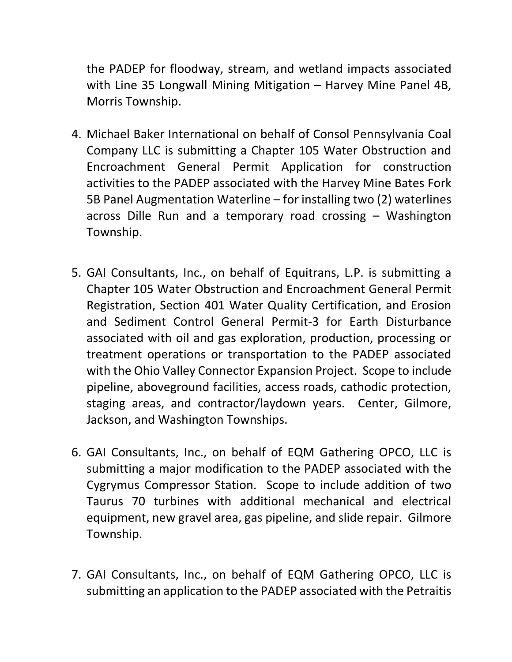the PADEP for floodway, stream, and wetland impacts associated with Line 35 Longwall Mining Mitigation – Harvey Mine Panel 4B, Morris Township.

- 4. Michael Baker International on behalf of Consol Pennsylvania Coal Company LLC is submitting a Chapter 105 Water Obstruction and Encroachment General Permit Application for construction activities to the PADEP associated with the Harvey Mine Bates Fork 5B Panel Augmentation Waterline – for installing two (2) waterlines across Dille Run and a temporary road crossing – Washington Township.
- 5. GAI Consultants, Inc., on behalf of Equitrans, L.P. is submitting a Chapter 105 Water Obstruction and Encroachment General Permit Registration, Section 401 Water Quality Certification, and Erosion and Sediment Control General Permit-3 for Earth Disturbance associated with oil and gas exploration, production, processing or treatment operations or transportation to the PADEP associated with the Ohio Valley Connector Expansion Project. Scope to include pipeline, aboveground facilities, access roads, cathodic protection, staging areas, and contractor/laydown years. Center, Gilmore, Jackson, and Washington Townships.
- 6. GAI Consultants, Inc., on behalf of EQM Gathering OPCO, LLC is submitting a major modification to the PADEP associated with the Cygrymus Compressor Station. Scope to include addition of two Taurus 70 turbines with additional mechanical and electrical equipment, new gravel area, gas pipeline, and slide repair. Gilmore Township.
- 7. GAI Consultants, Inc., on behalf of EQM Gathering OPCO, LLC is submitting an application to the PADEP associated with the Petraitis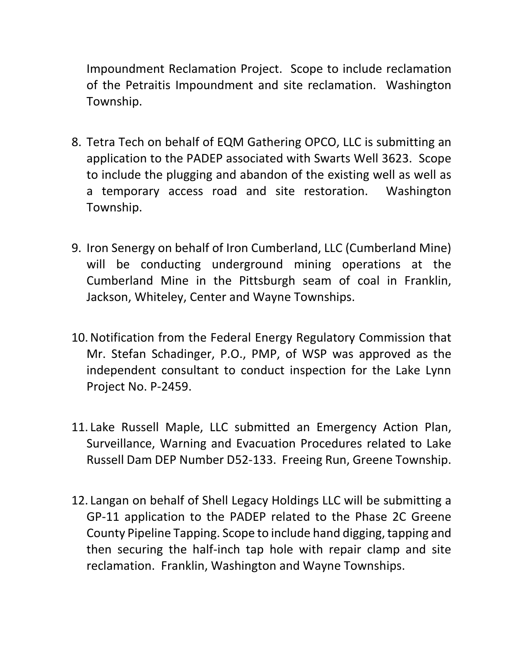Impoundment Reclamation Project. Scope to include reclamation of the Petraitis Impoundment and site reclamation. Washington Township.

- 8. Tetra Tech on behalf of EQM Gathering OPCO, LLC is submitting an application to the PADEP associated with Swarts Well 3623. Scope to include the plugging and abandon of the existing well as well as a temporary access road and site restoration. Washington Township.
- 9. Iron Senergy on behalf of Iron Cumberland, LLC (Cumberland Mine) will be conducting underground mining operations at the Cumberland Mine in the Pittsburgh seam of coal in Franklin, Jackson, Whiteley, Center and Wayne Townships.
- 10.Notification from the Federal Energy Regulatory Commission that Mr. Stefan Schadinger, P.O., PMP, of WSP was approved as the independent consultant to conduct inspection for the Lake Lynn Project No. P-2459.
- 11. Lake Russell Maple, LLC submitted an Emergency Action Plan, Surveillance, Warning and Evacuation Procedures related to Lake Russell Dam DEP Number D52-133. Freeing Run, Greene Township.
- 12. Langan on behalf of Shell Legacy Holdings LLC will be submitting a GP-11 application to the PADEP related to the Phase 2C Greene County Pipeline Tapping. Scope to include hand digging, tapping and then securing the half-inch tap hole with repair clamp and site reclamation. Franklin, Washington and Wayne Townships.